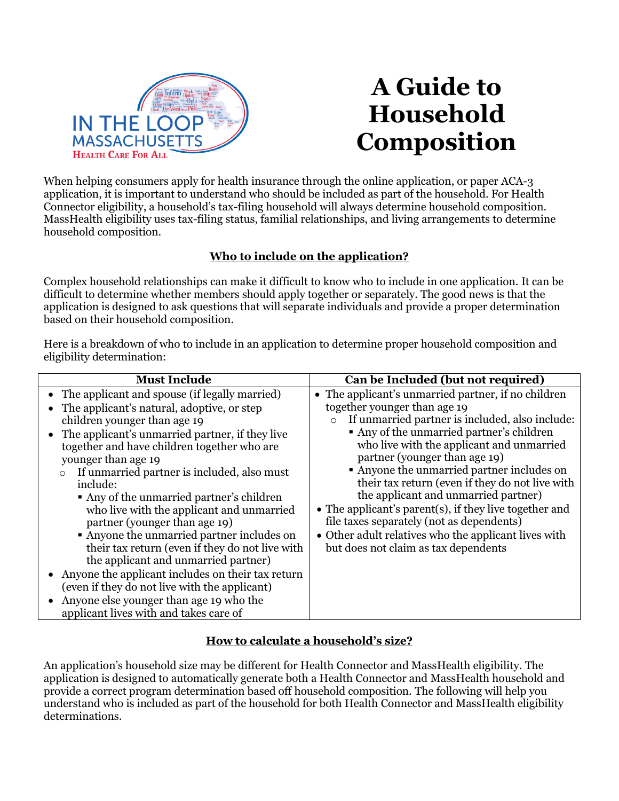

# **A Guide to Household Composition**

When helping consumers apply for health insurance through the online application, or paper ACA-3 application, it is important to understand who should be included as part of the household. For Health Connector eligibility, a household's tax-filing household will always determine household composition. MassHealth eligibility uses tax-filing status, familial relationships, and living arrangements to determine household composition.

# **Who to include on the application?**

Complex household relationships can make it difficult to know who to include in one application. It can be difficult to determine whether members should apply together or separately. The good news is that the application is designed to ask questions that will separate individuals and provide a proper determination based on their household composition.

Here is a breakdown of who to include in an application to determine proper household composition and eligibility determination:

| <b>Must Include</b>                                                                                                                                                                                                                                                                                                                                                                                                                                                                                                                                                                                                                                         | Can be Included (but not required)                                                                                                                                                                                                                                                                                                                                                                                                                                                                                                                                                                                           |
|-------------------------------------------------------------------------------------------------------------------------------------------------------------------------------------------------------------------------------------------------------------------------------------------------------------------------------------------------------------------------------------------------------------------------------------------------------------------------------------------------------------------------------------------------------------------------------------------------------------------------------------------------------------|------------------------------------------------------------------------------------------------------------------------------------------------------------------------------------------------------------------------------------------------------------------------------------------------------------------------------------------------------------------------------------------------------------------------------------------------------------------------------------------------------------------------------------------------------------------------------------------------------------------------------|
| • The applicant and spouse (if legally married)<br>• The applicant's natural, adoptive, or step<br>children younger than age 19<br>• The applicant's unmarried partner, if they live<br>together and have children together who are<br>younger than age 19<br>If unmarried partner is included, also must<br>$\circ$<br>include:<br>• Any of the unmarried partner's children<br>who live with the applicant and unmarried<br>partner (younger than age 19)<br>• Anyone the unmarried partner includes on<br>their tax return (even if they do not live with<br>the applicant and unmarried partner)<br>• Anyone the applicant includes on their tax return | • The applicant's unmarried partner, if no children<br>together younger than age 19<br>If unmarried partner is included, also include:<br>$\circ$<br>• Any of the unmarried partner's children<br>who live with the applicant and unmarried<br>partner (younger than age 19)<br>• Anyone the unmarried partner includes on<br>their tax return (even if they do not live with<br>the applicant and unmarried partner)<br>• The applicant's parent(s), if they live together and<br>file taxes separately (not as dependents)<br>• Other adult relatives who the applicant lives with<br>but does not claim as tax dependents |
|                                                                                                                                                                                                                                                                                                                                                                                                                                                                                                                                                                                                                                                             |                                                                                                                                                                                                                                                                                                                                                                                                                                                                                                                                                                                                                              |
|                                                                                                                                                                                                                                                                                                                                                                                                                                                                                                                                                                                                                                                             |                                                                                                                                                                                                                                                                                                                                                                                                                                                                                                                                                                                                                              |
| (even if they do not live with the applicant)                                                                                                                                                                                                                                                                                                                                                                                                                                                                                                                                                                                                               |                                                                                                                                                                                                                                                                                                                                                                                                                                                                                                                                                                                                                              |
| Anyone else younger than age 19 who the<br>$\bullet$                                                                                                                                                                                                                                                                                                                                                                                                                                                                                                                                                                                                        |                                                                                                                                                                                                                                                                                                                                                                                                                                                                                                                                                                                                                              |
| applicant lives with and takes care of                                                                                                                                                                                                                                                                                                                                                                                                                                                                                                                                                                                                                      |                                                                                                                                                                                                                                                                                                                                                                                                                                                                                                                                                                                                                              |

# **How to calculate a household's size?**

An application's household size may be different for Health Connector and MassHealth eligibility. The application is designed to automatically generate both a Health Connector and MassHealth household and provide a correct program determination based off household composition. The following will help you understand who is included as part of the household for both Health Connector and MassHealth eligibility determinations.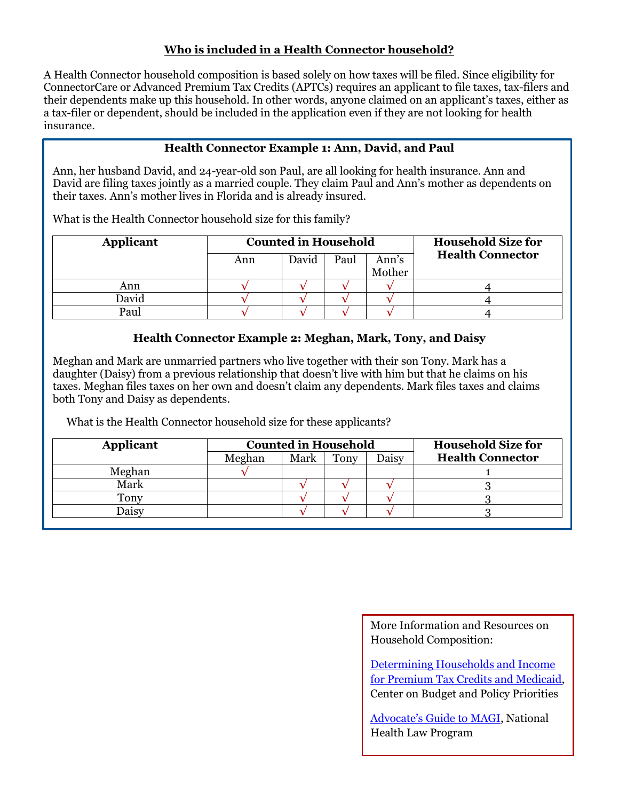## **Who is included in a Health Connector household?**

A Health Connector household composition is based solely on how taxes will be filed. Since eligibility for ConnectorCare or Advanced Premium Tax Credits (APTCs) requires an applicant to file taxes, tax-filers and their dependents make up this household. In other words, anyone claimed on an applicant's taxes, either as a tax-filer or dependent, should be included in the application even if they are not looking for health insurance.

## **Health Connector Example 1: Ann, David, and Paul**

Ann, her husband David, and 24-year-old son Paul, are all looking for health insurance. Ann and David are filing taxes jointly as a married couple. They claim Paul and Ann's mother as dependents on their taxes. Ann's mother lives in Florida and is already insured.

What is the Health Connector household size for this family?

| Applicant | <b>Counted in Household</b> |       |      |        | <b>Household Size for</b> |
|-----------|-----------------------------|-------|------|--------|---------------------------|
|           | Ann                         | David | Paul | Ann's  | <b>Health Connector</b>   |
|           |                             |       |      | Mother |                           |
| Ann       |                             |       |      |        |                           |
| David     |                             |       |      |        |                           |
| Paul      |                             |       |      |        |                           |

#### **Health Connector Example 2: Meghan, Mark, Tony, and Daisy**

Meghan and Mark are unmarried partners who live together with their son Tony. Mark has a daughter (Daisy) from a previous relationship that doesn't live with him but that he claims on his taxes. Meghan files taxes on her own and doesn't claim any dependents. Mark files taxes and claims both Tony and Daisy as dependents.

What is the Health Connector household size for these applicants?

| Applicant | <b>Counted in Household</b> |      |      | <b>Household Size for</b> |                         |
|-----------|-----------------------------|------|------|---------------------------|-------------------------|
|           | Meghan                      | Mark | Tony | Daisy                     | <b>Health Connector</b> |
| Meghan    |                             |      |      |                           |                         |
| Mark      |                             |      |      |                           |                         |
| Tony      |                             |      |      |                           |                         |
| )aisv     |                             |      |      |                           |                         |

More Information and Resources on Household Composition:

[Determining Households and Income](http://massloop.org/sites/default/files/helpimages/Determining%20Household%20Size%20and%20Income.pdf)  [for Premium Tax Credits and Medicaid,](http://massloop.org/sites/default/files/helpimages/Determining%20Household%20Size%20and%20Income.pdf) Center on Budget and Policy Priorities

[Advocate's Guide to MAGI](http://www.massloop.org/sites/default/files/helpimages/NHeLP%20Advocates%20Guide%20to%20MAGI.pdf), National Health Law Program